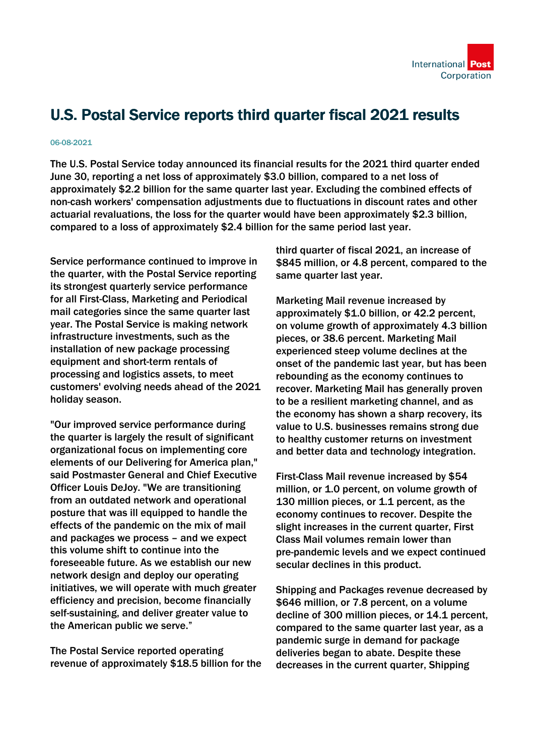

## U.S. Postal Service reports third quarter fiscal 2021 results

## 06-08-2021

The U.S. Postal Service today announced its financial results for the 2021 third quarter ended June 30, reporting a net loss of approximately \$3.0 billion, compared to a net loss of approximately \$2.2 billion for the same quarter last year. Excluding the combined effects of non-cash workers' compensation adjustments due to fluctuations in discount rates and other actuarial revaluations, the loss for the quarter would have been approximately \$2.3 billion, compared to a loss of approximately \$2.4 billion for the same period last year.

Service performance continued to improve in the quarter, with the Postal Service reporting its strongest quarterly service performance for all First-Class, Marketing and Periodical mail categories since the same quarter last year. The Postal Service is making network infrastructure investments, such as the installation of new package processing equipment and short-term rentals of processing and logistics assets, to meet customers' evolving needs ahead of the 2021 holiday season.

"Our improved service performance during the quarter is largely the result of significant organizational focus on implementing core elements of our Delivering for America plan," said Postmaster General and Chief Executive Officer Louis DeJoy. "We are transitioning from an outdated network and operational posture that was ill equipped to handle the effects of the pandemic on the mix of mail and packages we process – and we expect this volume shift to continue into the foreseeable future. As we establish our new network design and deploy our operating initiatives, we will operate with much greater efficiency and precision, become financially self-sustaining, and deliver greater value to the American public we serve."

The Postal Service reported operating revenue of approximately \$18.5 billion for the third quarter of fiscal 2021, an increase of \$845 million, or 4.8 percent, compared to the same quarter last year.

Marketing Mail revenue increased by approximately \$1.0 billion, or 42.2 percent, on volume growth of approximately 4.3 billion pieces, or 38.6 percent. Marketing Mail experienced steep volume declines at the onset of the pandemic last year, but has been rebounding as the economy continues to recover. Marketing Mail has generally proven to be a resilient marketing channel, and as the economy has shown a sharp recovery, its value to U.S. businesses remains strong due to healthy customer returns on investment and better data and technology integration.

First-Class Mail revenue increased by \$54 million, or 1.0 percent, on volume growth of 130 million pieces, or 1.1 percent, as the economy continues to recover. Despite the slight increases in the current quarter, First Class Mail volumes remain lower than pre-pandemic levels and we expect continued secular declines in this product.

Shipping and Packages revenue decreased by \$646 million, or 7.8 percent, on a volume decline of 300 million pieces, or 14.1 percent, compared to the same quarter last year, as a pandemic surge in demand for package deliveries began to abate. Despite these decreases in the current quarter, Shipping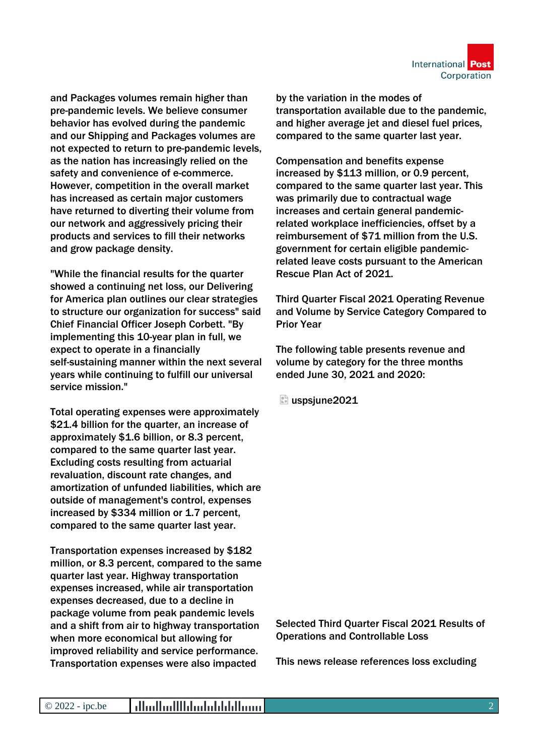

and Packages volumes remain higher than pre-pandemic levels. We believe consumer behavior has evolved during the pandemic and our Shipping and Packages volumes are not expected to return to pre-pandemic levels, as the nation has increasingly relied on the safety and convenience of e-commerce. However, competition in the overall market has increased as certain major customers have returned to diverting their volume from our network and aggressively pricing their products and services to fill their networks and grow package density.

"While the financial results for the quarter showed a continuing net loss, our Delivering for America plan outlines our clear strategies to structure our organization for success" said Chief Financial Officer Joseph Corbett. "By implementing this 10-year plan in full, we expect to operate in a financially self-sustaining manner within the next several years while continuing to fulfill our universal service mission."

Total operating expenses were approximately \$21.4 billion for the quarter, an increase of approximately \$1.6 billion, or 8.3 percent, compared to the same quarter last year. Excluding costs resulting from actuarial revaluation, discount rate changes, and amortization of unfunded liabilities, which are outside of management's control, expenses increased by \$334 million or 1.7 percent, compared to the same quarter last year.

Transportation expenses increased by \$182 million, or 8.3 percent, compared to the same quarter last year. Highway transportation expenses increased, while air transportation expenses decreased, due to a decline in package volume from peak pandemic levels and a shift from air to highway transportation when more economical but allowing for improved reliability and service performance. Transportation expenses were also impacted

by the variation in the modes of transportation available due to the pandemic, and higher average jet and diesel fuel prices, compared to the same quarter last year.

Compensation and benefits expense increased by \$113 million, or 0.9 percent, compared to the same quarter last year. This was primarily due to contractual wage increases and certain general pandemicrelated workplace inefficiencies, offset by a reimbursement of \$71 million from the U.S. government for certain eligible pandemicrelated leave costs pursuant to the American Rescue Plan Act of 2021.

Third Quarter Fiscal 2021 Operating Revenue and Volume by Service Category Compared to Prior Year

The following table presents revenue and volume by category for the three months ended June 30, 2021 and 2020:

uspsjune2021

Selected Third Quarter Fiscal 2021 Results of Operations and Controllable Loss

This news release references loss excluding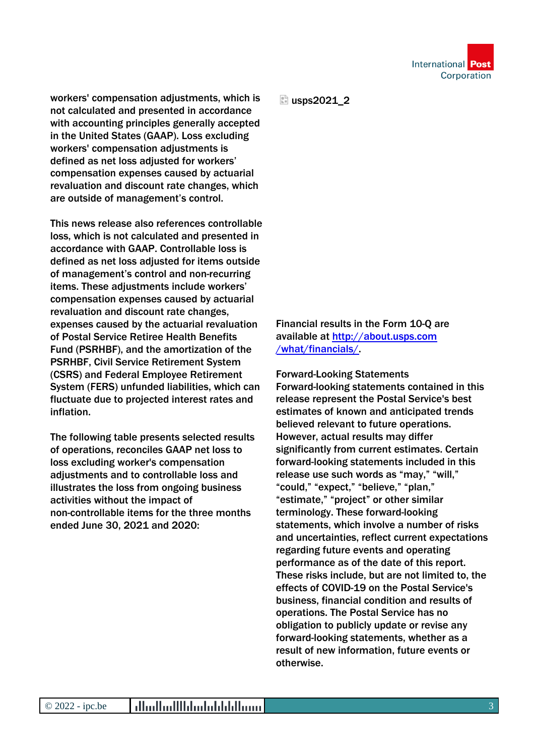

workers' compensation adjustments, which is not calculated and presented in accordance with accounting principles generally accepted in the United States (GAAP). Loss excluding workers' compensation adjustments is defined as net loss adjusted for workers' compensation expenses caused by actuarial revaluation and discount rate changes, which are outside of management's control.

This news release also references controllable loss, which is not calculated and presented in accordance with GAAP. Controllable loss is defined as net loss adjusted for items outside of management's control and non-recurring items. These adjustments include workers' compensation expenses caused by actuarial revaluation and discount rate changes, expenses caused by the actuarial revaluation of Postal Service Retiree Health Benefits Fund (PSRHBF), and the amortization of the PSRHBF, Civil Service Retirement System (CSRS) and Federal Employee Retirement System (FERS) unfunded liabilities, which can fluctuate due to projected interest rates and inflation.

The following table presents selected results of operations, reconciles GAAP net loss to loss excluding worker's compensation adjustments and to controllable loss and illustrates the loss from ongoing business activities without the impact of non-controllable items for the three months ended June 30, 2021 and 2020:

**E** usps2021\_2

Financial results in the Form 10-Q are available at [http://about.usps.com](https://about.usps.com/what/financials/) /what/financials/.

Forward-Looking Statements Forward-looking statements contained in this release represent the Postal Service's best estimates of known and anticipated trends believed relevant to future operations. However, actual results may differ significantly from current estimates. Certain forward-looking statements included in this release use such words as "may," "will," "could," "expect," "believe," "plan," "estimate," "project" or other similar terminology. These forward-looking statements, which involve a number of risks and uncertainties, reflect current expectations regarding future events and operating performance as of the date of this report. These risks include, but are not limited to, the effects of COVID-19 on the Postal Service's business, financial condition and results of operations. The Postal Service has no obligation to publicly update or revise any forward-looking statements, whether as a result of new information, future events or otherwise.